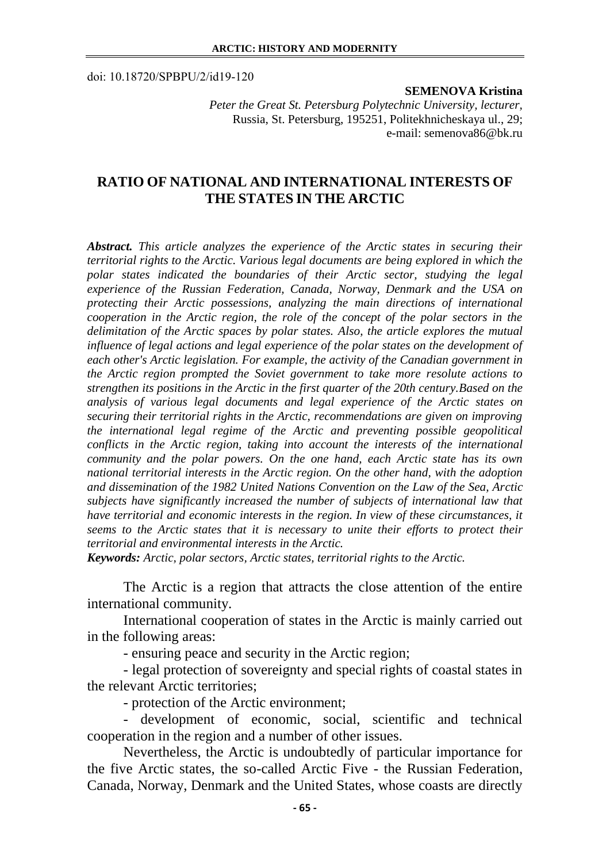doi: 10.18720/SPBPU/2/id19-120

## **SEMENOVA Kristina**

*Peter the Great St. Petersburg Polytechnic University, lecturer,*  Russia, St. Petersburg, 195251, Politekhnicheskaya ul., 29; e-mail: semenova86@bk.ru

## **RATIO OF NATIONAL AND INTERNATIONAL INTERESTS OF THE STATES IN THE ARCTIC**

*Abstract. This article analyzes the experience of the Arctic states in securing their territorial rights to the Arctic. Various legal documents are being explored in which the polar states indicated the boundaries of their Arctic sector, studying the legal experience of the Russian Federation, Canada, Norway, Denmark and the USA on protecting their Arctic possessions, analyzing the main directions of international cooperation in the Arctic region, the role of the concept of the polar sectors in the delimitation of the Arctic spaces by polar states. Also, the article explores the mutual influence of legal actions and legal experience of the polar states on the development of each other's Arctic legislation. For example, the activity of the Canadian government in the Arctic region prompted the Soviet government to take more resolute actions to strengthen its positions in the Arctic in the first quarter of the 20th century.Based on the analysis of various legal documents and legal experience of the Arctic states on securing their territorial rights in the Arctic, recommendations are given on improving the international legal regime of the Arctic and preventing possible geopolitical conflicts in the Arctic region, taking into account the interests of the international community and the polar powers. On the one hand, each Arctic state has its own national territorial interests in the Arctic region. On the other hand, with the adoption and dissemination of the 1982 United Nations Convention on the Law of the Sea, Arctic subjects have significantly increased the number of subjects of international law that have territorial and economic interests in the region. In view of these circumstances, it seems to the Arctic states that it is necessary to unite their efforts to protect their territorial and environmental interests in the Arctic.*

*Keywords: Arctic, polar sectors, Arctic states, territorial rights to the Arctic.*

The Arctic is a region that attracts the close attention of the entire international community.

International cooperation of states in the Arctic is mainly carried out in the following areas:

- ensuring peace and security in the Arctic region;

- legal protection of sovereignty and special rights of coastal states in the relevant Arctic territories;

- protection of the Arctic environment;

- development of economic, social, scientific and technical cooperation in the region and a number of other issues.

Nevertheless, the Arctic is undoubtedly of particular importance for the five Arctic states, the so-called Arctic Five - the Russian Federation, Canada, Norway, Denmark and the United States, whose coasts are directly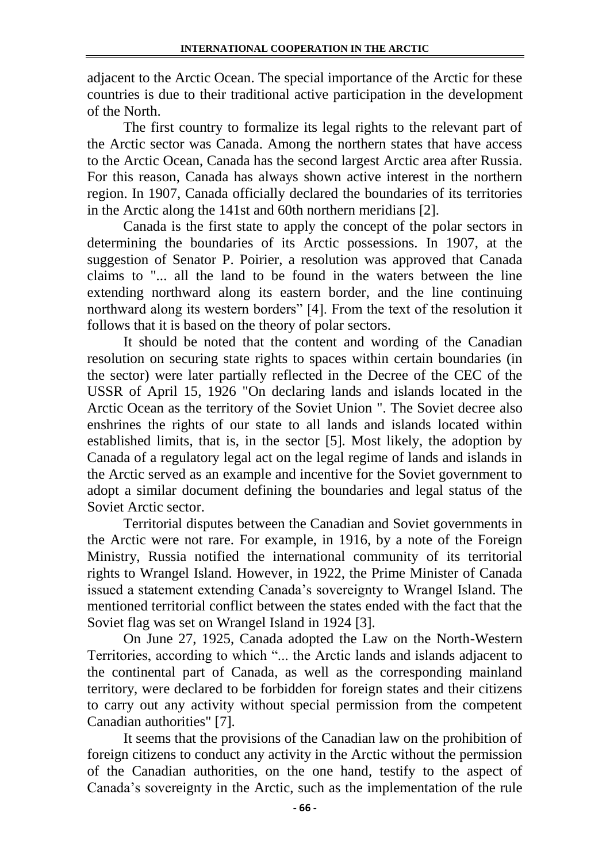adjacent to the Arctic Ocean. The special importance of the Arctic for these countries is due to their traditional active participation in the development of the North.

The first country to formalize its legal rights to the relevant part of the Arctic sector was Canada. Among the northern states that have access to the Arctic Ocean, Canada has the second largest Arctic area after Russia. For this reason, Canada has always shown active interest in the northern region. In 1907, Canada officially declared the boundaries of its territories in the Arctic along the 141st and 60th northern meridians [2].

Canada is the first state to apply the concept of the polar sectors in determining the boundaries of its Arctic possessions. In 1907, at the suggestion of Senator P. Poirier, a resolution was approved that Canada claims to "... all the land to be found in the waters between the line extending northward along its eastern border, and the line continuing northward along its western borders" [4]. From the text of the resolution it follows that it is based on the theory of polar sectors.

It should be noted that the content and wording of the Canadian resolution on securing state rights to spaces within certain boundaries (in the sector) were later partially reflected in the Decree of the CEC of the USSR of April 15, 1926 "On declaring lands and islands located in the Arctic Ocean as the territory of the Soviet Union ". The Soviet decree also enshrines the rights of our state to all lands and islands located within established limits, that is, in the sector [5]. Most likely, the adoption by Canada of a regulatory legal act on the legal regime of lands and islands in the Arctic served as an example and incentive for the Soviet government to adopt a similar document defining the boundaries and legal status of the Soviet Arctic sector.

Territorial disputes between the Canadian and Soviet governments in the Arctic were not rare. For example, in 1916, by a note of the Foreign Ministry, Russia notified the international community of its territorial rights to Wrangel Island. However, in 1922, the Prime Minister of Canada issued a statement extending Canada's sovereignty to Wrangel Island. The mentioned territorial conflict between the states ended with the fact that the Soviet flag was set on Wrangel Island in 1924 [3].

On June 27, 1925, Canada adopted the Law on the North-Western Territories, according to which "... the Arctic lands and islands adjacent to the continental part of Canada, as well as the corresponding mainland territory, were declared to be forbidden for foreign states and their citizens to carry out any activity without special permission from the competent Canadian authorities" [7].

It seems that the provisions of the Canadian law on the prohibition of foreign citizens to conduct any activity in the Arctic without the permission of the Canadian authorities, on the one hand, testify to the aspect of Canada's sovereignty in the Arctic, such as the implementation of the rule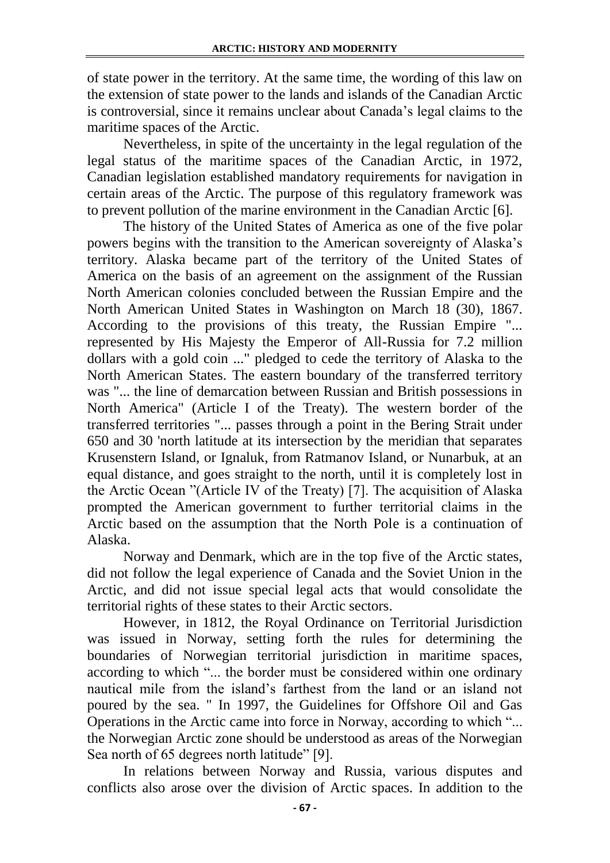of state power in the territory. At the same time, the wording of this law on the extension of state power to the lands and islands of the Canadian Arctic is controversial, since it remains unclear about Canada's legal claims to the maritime spaces of the Arctic.

Nevertheless, in spite of the uncertainty in the legal regulation of the legal status of the maritime spaces of the Canadian Arctic, in 1972, Canadian legislation established mandatory requirements for navigation in certain areas of the Arctic. The purpose of this regulatory framework was to prevent pollution of the marine environment in the Canadian Arctic [6].

The history of the United States of America as one of the five polar powers begins with the transition to the American sovereignty of Alaska's territory. Alaska became part of the territory of the United States of America on the basis of an agreement on the assignment of the Russian North American colonies concluded between the Russian Empire and the North American United States in Washington on March 18 (30), 1867. According to the provisions of this treaty, the Russian Empire "... represented by His Majesty the Emperor of All-Russia for 7.2 million dollars with a gold coin ..." pledged to cede the territory of Alaska to the North American States. The eastern boundary of the transferred territory was "... the line of demarcation between Russian and British possessions in North America" (Article I of the Treaty). The western border of the transferred territories "... passes through a point in the Bering Strait under 650 and 30 'north latitude at its intersection by the meridian that separates Krusenstern Island, or Ignaluk, from Ratmanov Island, or Nunarbuk, at an equal distance, and goes straight to the north, until it is completely lost in the Arctic Ocean "(Article IV of the Treaty) [7]. The acquisition of Alaska prompted the American government to further territorial claims in the Arctic based on the assumption that the North Pole is a continuation of Alaska.

Norway and Denmark, which are in the top five of the Arctic states, did not follow the legal experience of Canada and the Soviet Union in the Arctic, and did not issue special legal acts that would consolidate the territorial rights of these states to their Arctic sectors.

However, in 1812, the Royal Ordinance on Territorial Jurisdiction was issued in Norway, setting forth the rules for determining the boundaries of Norwegian territorial jurisdiction in maritime spaces, according to which "... the border must be considered within one ordinary nautical mile from the island's farthest from the land or an island not poured by the sea. " In 1997, the Guidelines for Offshore Oil and Gas Operations in the Arctic came into force in Norway, according to which "... the Norwegian Arctic zone should be understood as areas of the Norwegian Sea north of 65 degrees north latitude" [9].

In relations between Norway and Russia, various disputes and conflicts also arose over the division of Arctic spaces. In addition to the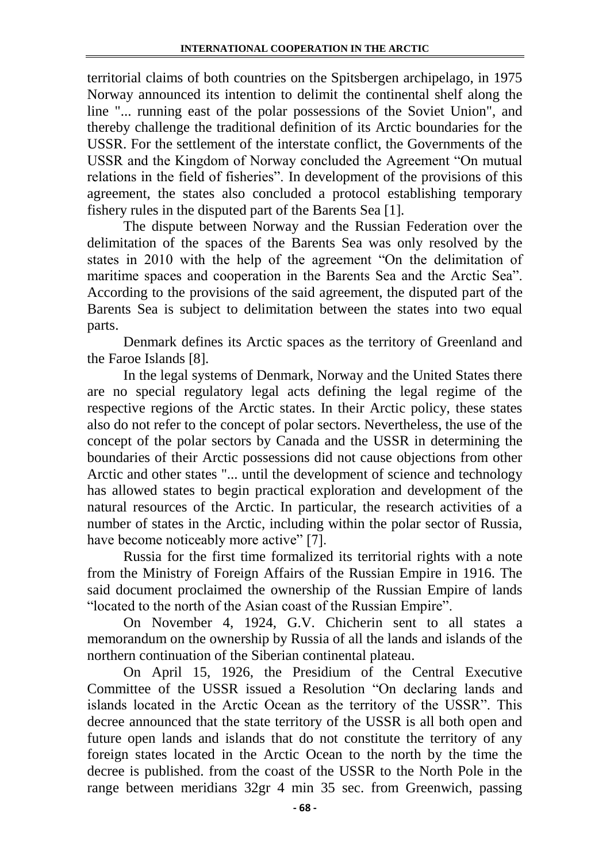territorial claims of both countries on the Spitsbergen archipelago, in 1975 Norway announced its intention to delimit the continental shelf along the line "... running east of the polar possessions of the Soviet Union", and thereby challenge the traditional definition of its Arctic boundaries for the USSR. For the settlement of the interstate conflict, the Governments of the USSR and the Kingdom of Norway concluded the Agreement "On mutual relations in the field of fisheries". In development of the provisions of this agreement, the states also concluded a protocol establishing temporary fishery rules in the disputed part of the Barents Sea [1].

The dispute between Norway and the Russian Federation over the delimitation of the spaces of the Barents Sea was only resolved by the states in 2010 with the help of the agreement "On the delimitation of maritime spaces and cooperation in the Barents Sea and the Arctic Sea". According to the provisions of the said agreement, the disputed part of the Barents Sea is subject to delimitation between the states into two equal parts.

Denmark defines its Arctic spaces as the territory of Greenland and the Faroe Islands [8].

In the legal systems of Denmark, Norway and the United States there are no special regulatory legal acts defining the legal regime of the respective regions of the Arctic states. In their Arctic policy, these states also do not refer to the concept of polar sectors. Nevertheless, the use of the concept of the polar sectors by Canada and the USSR in determining the boundaries of their Arctic possessions did not cause objections from other Arctic and other states "... until the development of science and technology has allowed states to begin practical exploration and development of the natural resources of the Arctic. In particular, the research activities of a number of states in the Arctic, including within the polar sector of Russia, have become noticeably more active" [7].

Russia for the first time formalized its territorial rights with a note from the Ministry of Foreign Affairs of the Russian Empire in 1916. The said document proclaimed the ownership of the Russian Empire of lands "located to the north of the Asian coast of the Russian Empire".

On November 4, 1924, G.V. Chicherin sent to all states a memorandum on the ownership by Russia of all the lands and islands of the northern continuation of the Siberian continental plateau.

On April 15, 1926, the Presidium of the Central Executive Committee of the USSR issued a Resolution "On declaring lands and islands located in the Arctic Ocean as the territory of the USSR". This decree announced that the state territory of the USSR is all both open and future open lands and islands that do not constitute the territory of any foreign states located in the Arctic Ocean to the north by the time the decree is published. from the coast of the USSR to the North Pole in the range between meridians 32gr 4 min 35 sec. from Greenwich, passing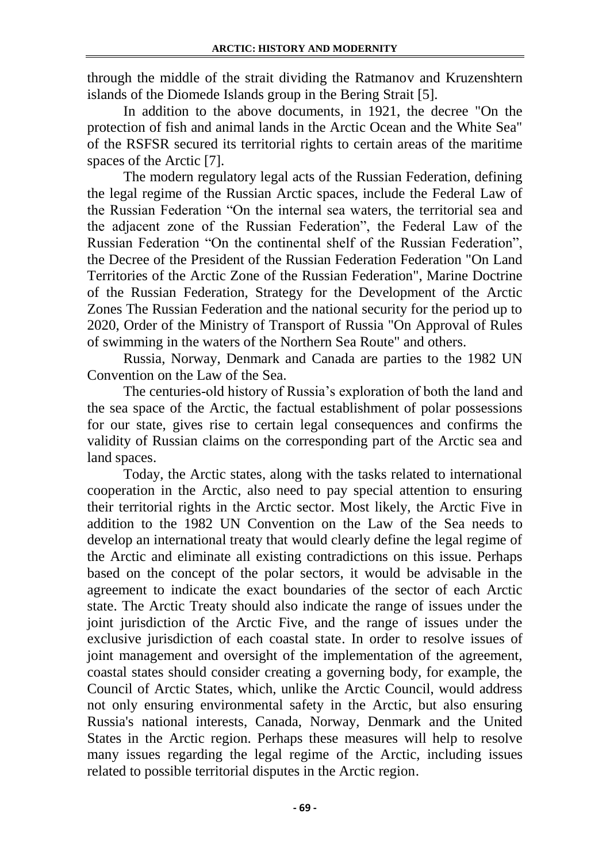through the middle of the strait dividing the Ratmanov and Kruzenshtern islands of the Diomede Islands group in the Bering Strait [5].

In addition to the above documents, in 1921, the decree "On the protection of fish and animal lands in the Arctic Ocean and the White Sea" of the RSFSR secured its territorial rights to certain areas of the maritime spaces of the Arctic [7].

The modern regulatory legal acts of the Russian Federation, defining the legal regime of the Russian Arctic spaces, include the Federal Law of the Russian Federation "On the internal sea waters, the territorial sea and the adjacent zone of the Russian Federation", the Federal Law of the Russian Federation "On the continental shelf of the Russian Federation", the Decree of the President of the Russian Federation Federation "On Land Territories of the Arctic Zone of the Russian Federation", Marine Doctrine of the Russian Federation, Strategy for the Development of the Arctic Zones The Russian Federation and the national security for the period up to 2020, Order of the Ministry of Transport of Russia "On Approval of Rules of swimming in the waters of the Northern Sea Route" and others.

Russia, Norway, Denmark and Canada are parties to the 1982 UN Convention on the Law of the Sea.

The centuries-old history of Russia's exploration of both the land and the sea space of the Arctic, the factual establishment of polar possessions for our state, gives rise to certain legal consequences and confirms the validity of Russian claims on the corresponding part of the Arctic sea and land spaces.

Today, the Arctic states, along with the tasks related to international cooperation in the Arctic, also need to pay special attention to ensuring their territorial rights in the Arctic sector. Most likely, the Arctic Five in addition to the 1982 UN Convention on the Law of the Sea needs to develop an international treaty that would clearly define the legal regime of the Arctic and eliminate all existing contradictions on this issue. Perhaps based on the concept of the polar sectors, it would be advisable in the agreement to indicate the exact boundaries of the sector of each Arctic state. The Arctic Treaty should also indicate the range of issues under the joint jurisdiction of the Arctic Five, and the range of issues under the exclusive jurisdiction of each coastal state. In order to resolve issues of joint management and oversight of the implementation of the agreement, coastal states should consider creating a governing body, for example, the Council of Arctic States, which, unlike the Arctic Council, would address not only ensuring environmental safety in the Arctic, but also ensuring Russia's national interests, Canada, Norway, Denmark and the United States in the Arctic region. Perhaps these measures will help to resolve many issues regarding the legal regime of the Arctic, including issues related to possible territorial disputes in the Arctic region.